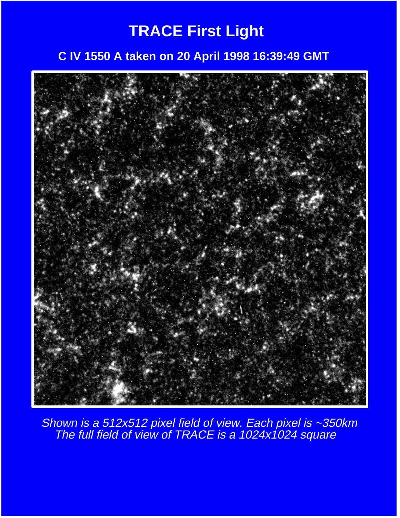### **TRACE First Light**

#### **C IV 1550 A taken on 20 April 1998 16:39:49 GMT**



Shown is a 512x512 pixel field of view. Each pixel is ~350km The full field of view of TRACE is a 1024x1024 square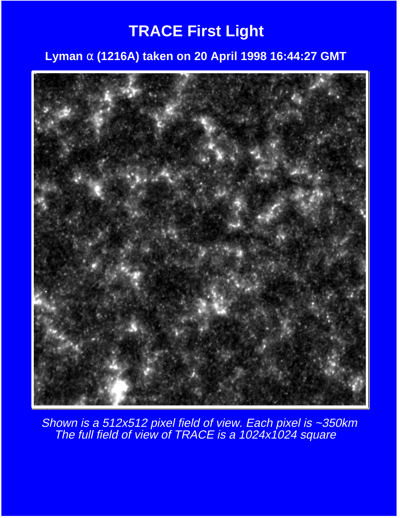### **TRACE First Light**

#### **Lyman** α **(1216A) taken on 20 April 1998 16:44:27 GMT**



Shown is a 512x512 pixel field of view. Each pixel is ~350km The full field of view of TRACE is a 1024x1024 square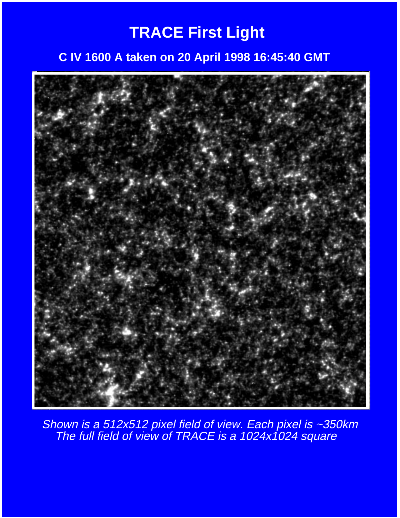### **TRACE First Light**

#### **C IV 1600 A taken on 20 April 1998 16:45:40 GMT**



Shown is a 512x512 pixel field of view. Each pixel is ~350km The full field of view of TRACE is a 1024x1024 square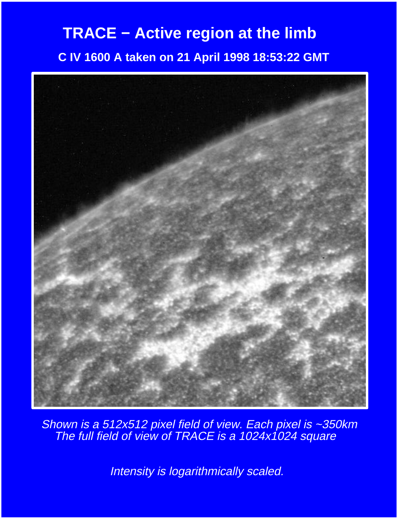### **TRACE − Active region at the limb**

 **C IV 1600 A taken on 21 April 1998 18:53:22 GMT**



Shown is a 512x512 pixel field of view. Each pixel is ~350km The full field of view of TRACE is a 1024x1024 square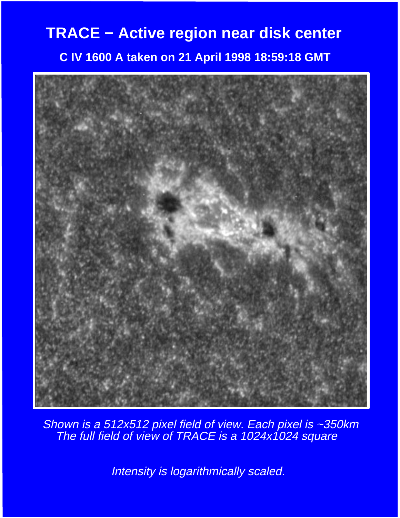# **TRACE − Active region near disk center C IV 1600 A taken on 21 April 1998 18:59:18 GMT**



Shown is a 512x512 pixel field of view. Each pixel is ~350km The full field of view of TRACE is a 1024x1024 square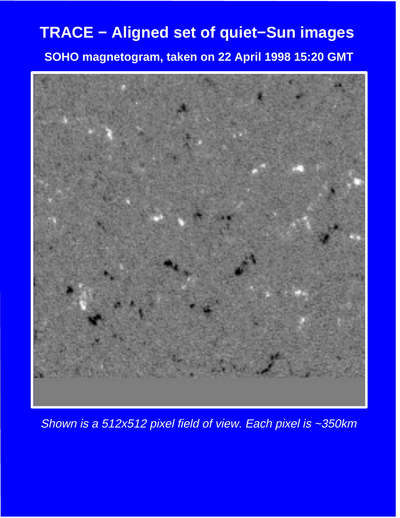**SOHO magnetogram, taken on 22 April 1998 15:20 GMT**



Shown is a 512x512 pixel field of view. Each pixel is ~350km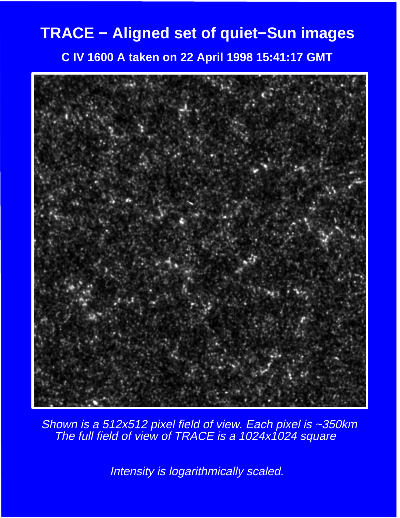**C IV 1600 A taken on 22 April 1998 15:41:17 GMT**



Shown is a 512x512 pixel field of view. Each pixel is ~350km The full field of view of TRACE is a 1024x1024 square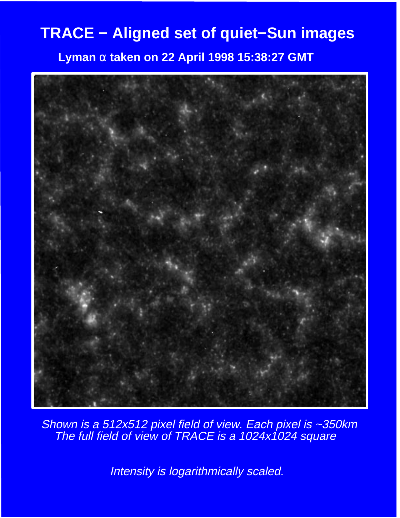**Lyman** α **taken on 22 April 1998 15:38:27 GMT**



Shown is a 512x512 pixel field of view. Each pixel is ~350km The full field of view of TRACE is a 1024x1024 square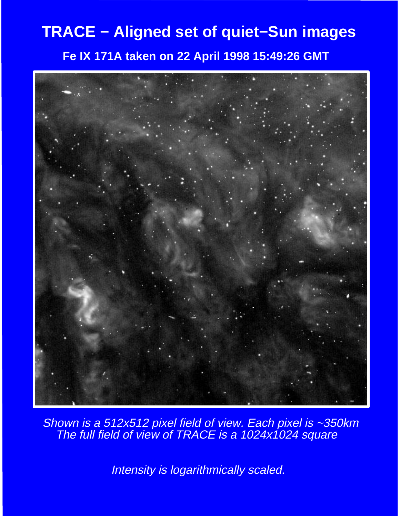**Fe IX 171A taken on 22 April 1998 15:49:26 GMT**



Shown is a 512x512 pixel field of view. Each pixel is ~350km The full field of view of TRACE is a 1024x1024 square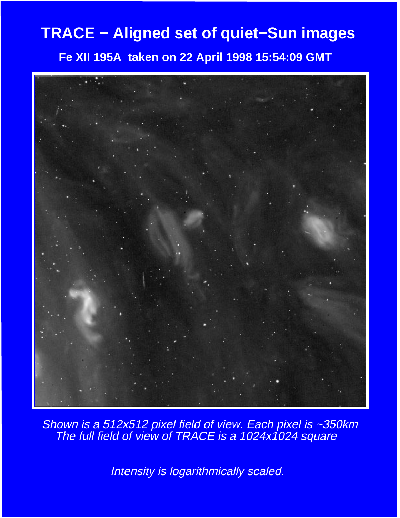**Fe XII 195A taken on 22 April 1998 15:54:09 GMT**



Shown is a 512x512 pixel field of view. Each pixel is ~350km The full field of view of TRACE is a 1024x1024 square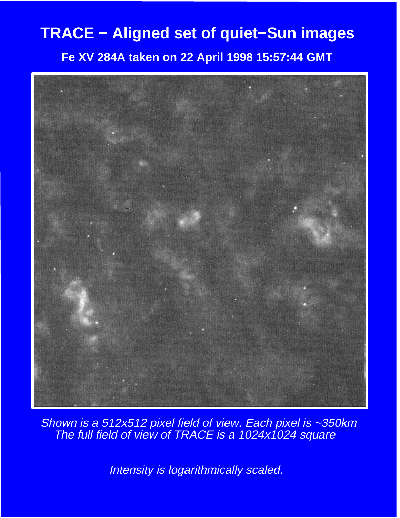#### **Fe XV 284A taken on 22 April 1998 15:57:44 GMT**



Shown is a 512x512 pixel field of view. Each pixel is ~350km The full field of view of TRACE is a 1024x1024 square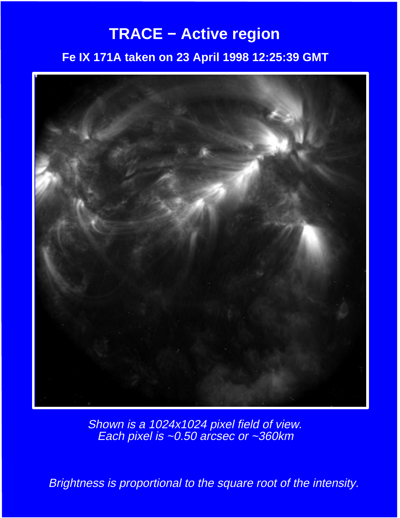### **TRACE − Active region**

#### **Fe IX 171A taken on 23 April 1998 12:25:39 GMT**



Shown is a 1024x1024 pixel field of view. Each pixel is ~0.50 arcsec or ~360km

Brightness is proportional to the square root of the intensity.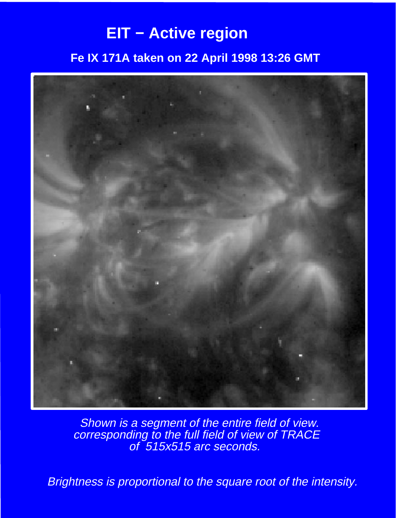### **EIT − Active region**

#### **Fe IX 171A taken on 22 April 1998 13:26 GMT**



**Shown is a segment of the entire field of view.**  corresponding to the full field of view of TRACE of 515x515 arc seconds.

Brightness is proportional to the square root of the intensity.